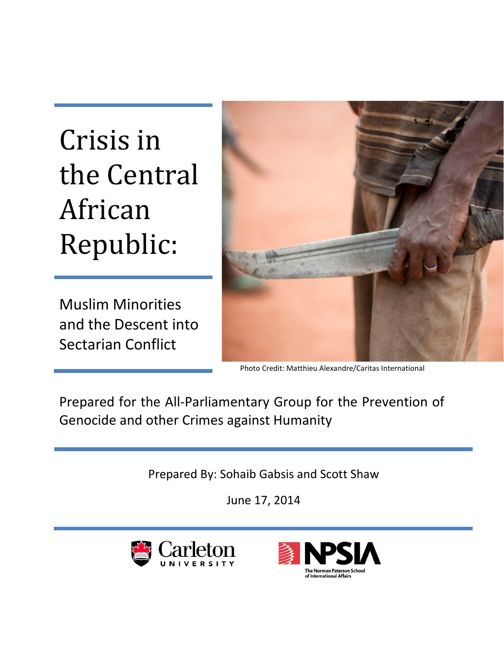# Crisis in the Central African Republic:

Muslim Minorities and the Descent into Sectarian Conflict



Photo Credit: Matthieu Alexandre/Caritas International

Prepared for the All-Parliamentary Group for the Prevention of Genocide and other Crimes against Humanity

Prepared By: Sohaib Gabsis and Scott Shaw

June 17, 2014



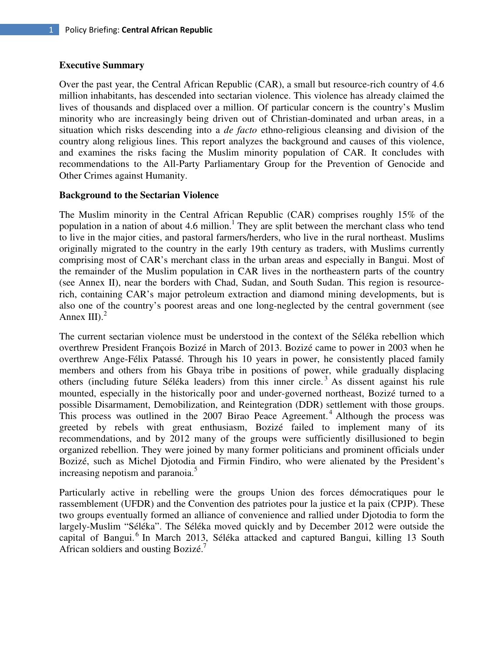### **Executive Summary**

Over the past year, the Central African Republic (CAR), a small but resource-rich country of 4.6 million inhabitants, has descended into sectarian violence. This violence has already claimed the lives of thousands and displaced over a million. Of particular concern is the country's Muslim minority who are increasingly being driven out of Christian-dominated and urban areas, in a situation which risks descending into a *de facto* ethno-religious cleansing and division of the country along religious lines. This report analyzes the background and causes of this violence, and examines the risks facing the Muslim minority population of CAR. It concludes with recommendations to the All-Party Parliamentary Group for the Prevention of Genocide and Other Crimes against Humanity.

## **Background to the Sectarian Violence**

The Muslim minority in the Central African Republic (CAR) comprises roughly 15% of the population in a nation of about 4.6 million.<sup>1</sup> They are split between the merchant class who tend to live in the major cities, and pastoral farmers/herders, who live in the rural northeast. Muslims originally migrated to the country in the early 19th century as traders, with Muslims currently comprising most of CAR's merchant class in the urban areas and especially in Bangui. Most of the remainder of the Muslim population in CAR lives in the northeastern parts of the country (see Annex II), near the borders with Chad, Sudan, and South Sudan. This region is resourcerich, containing CAR's major petroleum extraction and diamond mining developments, but is also one of the country's poorest areas and one long-neglected by the central government (see Annex III). $<sup>2</sup>$ </sup>

The current sectarian violence must be understood in the context of the Séléka rebellion which overthrew President François Bozizé in March of 2013. Bozizé came to power in 2003 when he overthrew Ange-Félix Patassé. Through his 10 years in power, he consistently placed family members and others from his Gbaya tribe in positions of power, while gradually displacing others (including future Séléka leaders) from this inner circle.<sup>3</sup> As dissent against his rule mounted, especially in the historically poor and under-governed northeast, Bozizé turned to a possible Disarmament, Demobilization, and Reintegration (DDR) settlement with those groups. This process was outlined in the 2007 Birao Peace Agreement.<sup>4</sup> Although the process was greeted by rebels with great enthusiasm, Bozizé failed to implement many of its recommendations, and by 2012 many of the groups were sufficiently disillusioned to begin organized rebellion. They were joined by many former politicians and prominent officials under Bozizé, such as Michel Djotodia and Firmin Findiro, who were alienated by the President's increasing nepotism and paranoia.<sup>5</sup>

Particularly active in rebelling were the groups Union des forces démocratiques pour le rassemblement (UFDR) and the Convention des patriotes pour la justice et la paix (CPJP). These two groups eventually formed an alliance of convenience and rallied under Djotodia to form the largely-Muslim "Séléka". The Séléka moved quickly and by December 2012 were outside the capital of Bangui.<sup>6</sup> In March 2013, Séléka attacked and captured Bangui, killing 13 South African soldiers and ousting Bozizé.<sup>7</sup>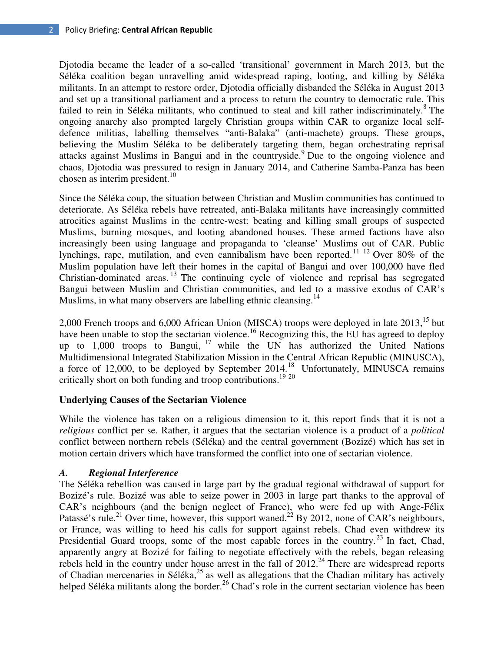Djotodia became the leader of a so-called 'transitional' government in March 2013, but the Séléka coalition began unravelling amid widespread raping, looting, and killing by Séléka militants. In an attempt to restore order, Djotodia officially disbanded the Séléka in August 2013 and set up a transitional parliament and a process to return the country to democratic rule. This failed to rein in Séléka militants, who continued to steal and kill rather indiscriminately.<sup>8</sup> The ongoing anarchy also prompted largely Christian groups within CAR to organize local selfdefence militias, labelling themselves "anti-Balaka" (anti-machete) groups. These groups, believing the Muslim Séléka to be deliberately targeting them, began orchestrating reprisal attacks against Muslims in Bangui and in the countryside.<sup>9</sup> Due to the ongoing violence and chaos, Djotodia was pressured to resign in January 2014, and Catherine Samba-Panza has been chosen as interim president. $10$ 

Since the Séléka coup, the situation between Christian and Muslim communities has continued to deteriorate. As Séléka rebels have retreated, anti-Balaka militants have increasingly committed atrocities against Muslims in the centre-west: beating and killing small groups of suspected Muslims, burning mosques, and looting abandoned houses. These armed factions have also increasingly been using language and propaganda to 'cleanse' Muslims out of CAR. Public lynchings, rape, mutilation, and even cannibalism have been reported.<sup>11 12</sup> Over 80% of the Muslim population have left their homes in the capital of Bangui and over 100,000 have fled Christian-dominated areas.  $^{13}$  The continuing cycle of violence and reprisal has segregated Bangui between Muslim and Christian communities, and led to a massive exodus of CAR's Muslims, in what many observers are labelling ethnic cleansing.<sup>14</sup>

2,000 French troops and 6,000 African Union (MISCA) troops were deployed in late 2013,<sup>15</sup> but have been unable to stop the sectarian violence.<sup>16</sup> Recognizing this, the EU has agreed to deploy up to  $1,000$  troops to Bangui,  $17$  while the UN has authorized the United Nations Multidimensional Integrated Stabilization Mission in the Central African Republic (MINUSCA), a force of 12,000, to be deployed by September 2014.<sup>18</sup> Unfortunately, MINUSCA remains critically short on both funding and troop contributions.<sup>19</sup> <sup>20</sup>

## **Underlying Causes of the Sectarian Violence**

While the violence has taken on a religious dimension to it, this report finds that it is not a *religious* conflict per se. Rather, it argues that the sectarian violence is a product of a *political* conflict between northern rebels (Séléka) and the central government (Bozizé) which has set in motion certain drivers which have transformed the conflict into one of sectarian violence.

## *A. Regional Interference*

The Séléka rebellion was caused in large part by the gradual regional withdrawal of support for Bozizé's rule. Bozizé was able to seize power in 2003 in large part thanks to the approval of CAR's neighbours (and the benign neglect of France), who were fed up with Ange-Félix Patassé's rule.<sup>21</sup> Over time, however, this support waned.<sup>22</sup> By 2012, none of CAR's neighbours, or France, was willing to heed his calls for support against rebels. Chad even withdrew its Presidential Guard troops, some of the most capable forces in the country.<sup>23</sup> In fact, Chad, apparently angry at Bozizé for failing to negotiate effectively with the rebels, began releasing rebels held in the country under house arrest in the fall of  $2012<sup>24</sup>$  There are widespread reports of Chadian mercenaries in Séléka, $25$  as well as allegations that the Chadian military has actively helped Séléka militants along the border.<sup>26</sup> Chad's role in the current sectarian violence has been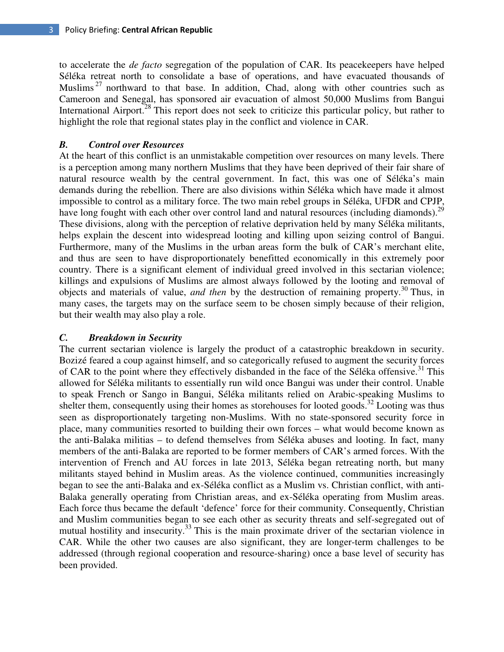to accelerate the *de facto* segregation of the population of CAR. Its peacekeepers have helped Séléka retreat north to consolidate a base of operations, and have evacuated thousands of Muslims <sup>27</sup> northward to that base. In addition, Chad, along with other countries such as Cameroon and Senegal, has sponsored air evacuation of almost 50,000 Muslims from Bangui International Airport.<sup>28</sup> This report does not seek to criticize this particular policy, but rather to highlight the role that regional states play in the conflict and violence in CAR.

## *B. Control over Resources*

At the heart of this conflict is an unmistakable competition over resources on many levels. There is a perception among many northern Muslims that they have been deprived of their fair share of natural resource wealth by the central government. In fact, this was one of Séléka's main demands during the rebellion. There are also divisions within Séléka which have made it almost impossible to control as a military force. The two main rebel groups in Séléka, UFDR and CPJP, have long fought with each other over control land and natural resources (including diamonds).<sup>29</sup> These divisions, along with the perception of relative deprivation held by many Séléka militants, helps explain the descent into widespread looting and killing upon seizing control of Bangui. Furthermore, many of the Muslims in the urban areas form the bulk of CAR's merchant elite, and thus are seen to have disproportionately benefitted economically in this extremely poor country. There is a significant element of individual greed involved in this sectarian violence; killings and expulsions of Muslims are almost always followed by the looting and removal of objects and materials of value, *and then* by the destruction of remaining property.<sup>30</sup> Thus, in many cases, the targets may on the surface seem to be chosen simply because of their religion, but their wealth may also play a role.

## *C. Breakdown in Security*

The current sectarian violence is largely the product of a catastrophic breakdown in security. Bozizé feared a coup against himself, and so categorically refused to augment the security forces of CAR to the point where they effectively disbanded in the face of the Séléka offensive.<sup>31</sup> This allowed for Séléka militants to essentially run wild once Bangui was under their control. Unable to speak French or Sango in Bangui, Séléka militants relied on Arabic-speaking Muslims to shelter them, consequently using their homes as storehouses for looted goods.<sup>32</sup> Looting was thus seen as disproportionately targeting non-Muslims. With no state-sponsored security force in place, many communities resorted to building their own forces – what would become known as the anti-Balaka militias – to defend themselves from Séléka abuses and looting. In fact, many members of the anti-Balaka are reported to be former members of CAR's armed forces. With the intervention of French and AU forces in late 2013, Séléka began retreating north, but many militants stayed behind in Muslim areas. As the violence continued, communities increasingly began to see the anti-Balaka and ex-Séléka conflict as a Muslim vs. Christian conflict, with anti-Balaka generally operating from Christian areas, and ex-Séléka operating from Muslim areas. Each force thus became the default 'defence' force for their community. Consequently, Christian and Muslim communities began to see each other as security threats and self-segregated out of mutual hostility and insecurity.<sup>33</sup> This is the main proximate driver of the sectarian violence in CAR. While the other two causes are also significant, they are longer-term challenges to be addressed (through regional cooperation and resource-sharing) once a base level of security has been provided.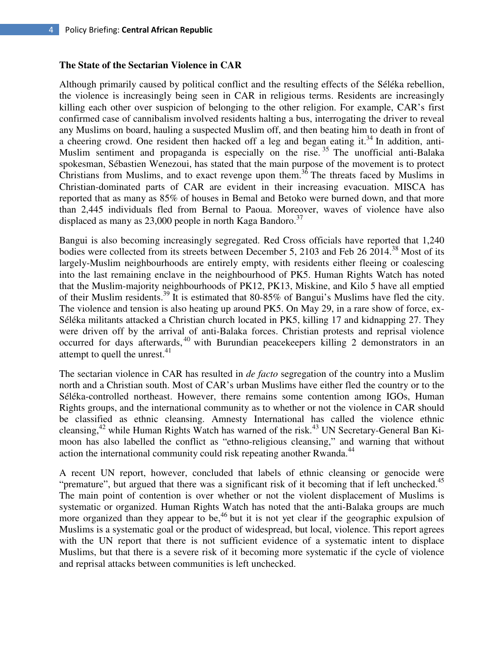#### **The State of the Sectarian Violence in CAR**

Although primarily caused by political conflict and the resulting effects of the Séléka rebellion, the violence is increasingly being seen in CAR in religious terms. Residents are increasingly killing each other over suspicion of belonging to the other religion. For example, CAR's first confirmed case of cannibalism involved residents halting a bus, interrogating the driver to reveal any Muslims on board, hauling a suspected Muslim off, and then beating him to death in front of a cheering crowd. One resident then hacked off a leg and began eating it.<sup>34</sup> In addition, anti-Muslim sentiment and propaganda is especially on the rise.<sup>35</sup> The unofficial anti-Balaka spokesman, Sébastien Wenezoui, has stated that the main purpose of the movement is to protect Christians from Muslims, and to exact revenge upon them.<sup>36</sup> The threats faced by Muslims in Christian-dominated parts of CAR are evident in their increasing evacuation. MISCA has reported that as many as 85% of houses in Bemal and Betoko were burned down, and that more than 2,445 individuals fled from Bernal to Paoua. Moreover, waves of violence have also displaced as many as 23,000 people in north Kaga Bandoro.<sup>37</sup>

Bangui is also becoming increasingly segregated. Red Cross officials have reported that 1,240 bodies were collected from its streets between December 5, 2103 and Feb 26 2014.<sup>38</sup> Most of its largely-Muslim neighbourhoods are entirely empty, with residents either fleeing or coalescing into the last remaining enclave in the neighbourhood of PK5. Human Rights Watch has noted that the Muslim-majority neighbourhoods of PK12, PK13, Miskine, and Kilo 5 have all emptied of their Muslim residents.<sup>39</sup> It is estimated that 80-85% of Bangui's Muslims have fled the city. The violence and tension is also heating up around PK5. On May 29, in a rare show of force, ex-Séléka militants attacked a Christian church located in PK5, killing 17 and kidnapping 27. They were driven off by the arrival of anti-Balaka forces. Christian protests and reprisal violence occurred for days afterwards,<sup>40</sup> with Burundian peacekeepers killing 2 demonstrators in an attempt to quell the unrest. $41$ 

The sectarian violence in CAR has resulted in *de facto* segregation of the country into a Muslim north and a Christian south. Most of CAR's urban Muslims have either fled the country or to the Séléka-controlled northeast. However, there remains some contention among IGOs, Human Rights groups, and the international community as to whether or not the violence in CAR should be classified as ethnic cleansing. Amnesty International has called the violence ethnic cleansing,<sup>42</sup> while Human Rights Watch has warned of the risk.<sup>43</sup> UN Secretary-General Ban Kimoon has also labelled the conflict as "ethno-religious cleansing," and warning that without action the international community could risk repeating another Rwanda.<sup>44</sup>

A recent UN report, however, concluded that labels of ethnic cleansing or genocide were "premature", but argued that there was a significant risk of it becoming that if left unchecked.<sup>45</sup> The main point of contention is over whether or not the violent displacement of Muslims is systematic or organized. Human Rights Watch has noted that the anti-Balaka groups are much more organized than they appear to be,<sup>46</sup> but it is not yet clear if the geographic expulsion of Muslims is a systematic goal or the product of widespread, but local, violence. This report agrees with the UN report that there is not sufficient evidence of a systematic intent to displace Muslims, but that there is a severe risk of it becoming more systematic if the cycle of violence and reprisal attacks between communities is left unchecked.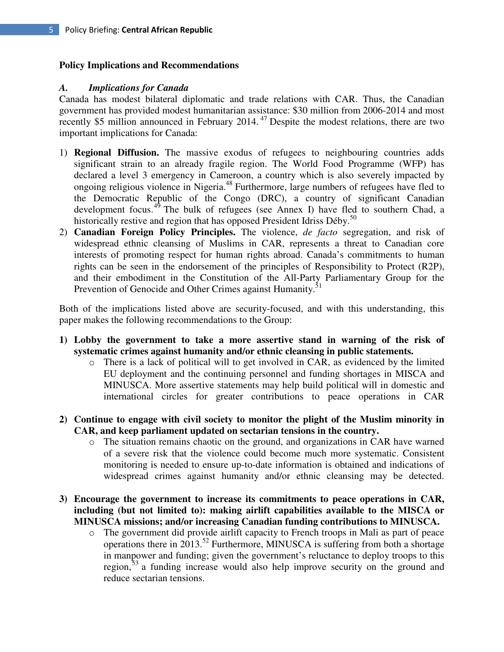## **Policy Implications and Recommendations**

### *A. Implications for Canada*

Canada has modest bilateral diplomatic and trade relations with CAR. Thus, the Canadian government has provided modest humanitarian assistance: \$30 million from 2006-2014 and most recently \$5 million announced in February 2014.<sup>47</sup> Despite the modest relations, there are two important implications for Canada:

- 1) **Regional Diffusion.** The massive exodus of refugees to neighbouring countries adds significant strain to an already fragile region. The World Food Programme (WFP) has declared a level 3 emergency in Cameroon, a country which is also severely impacted by ongoing religious violence in Nigeria.<sup>48</sup> Furthermore, large numbers of refugees have fled to the Democratic Republic of the Congo (DRC), a country of significant Canadian development focus.<sup>49</sup> The bulk of refugees (see Annex I) have fled to southern Chad, a historically restive and region that has opposed President Idriss Déby.<sup>50</sup>
- 2) **Canadian Foreign Policy Principles.** The violence, *de facto* segregation, and risk of widespread ethnic cleansing of Muslims in CAR, represents a threat to Canadian core interests of promoting respect for human rights abroad. Canada's commitments to human rights can be seen in the endorsement of the principles of Responsibility to Protect (R2P), and their embodiment in the Constitution of the All-Party Parliamentary Group for the Prevention of Genocide and Other Crimes against Humanity.<sup>51</sup>

Both of the implications listed above are security-focused, and with this understanding, this paper makes the following recommendations to the Group:

- **1) Lobby the government to take a more assertive stand in warning of the risk of systematic crimes against humanity and/or ethnic cleansing in public statements.** 
	- o There is a lack of political will to get involved in CAR, as evidenced by the limited EU deployment and the continuing personnel and funding shortages in MISCA and MINUSCA. More assertive statements may help build political will in domestic and international circles for greater contributions to peace operations in CAR
- **2) Continue to engage with civil society to monitor the plight of the Muslim minority in CAR, and keep parliament updated on sectarian tensions in the country.** 
	- o The situation remains chaotic on the ground, and organizations in CAR have warned of a severe risk that the violence could become much more systematic. Consistent monitoring is needed to ensure up-to-date information is obtained and indications of widespread crimes against humanity and/or ethnic cleansing may be detected.
- **3) Encourage the government to increase its commitments to peace operations in CAR, including (but not limited to): making airlift capabilities available to the MISCA or MINUSCA missions; and/or increasing Canadian funding contributions to MINUSCA.** 
	- o The government did provide airlift capacity to French troops in Mali as part of peace operations there in  $2013^{52}$  Furthermore, MINUSCA is suffering from both a shortage in manpower and funding; given the government's reluctance to deploy troops to this region,  $\bar{5}$ <sup>3</sup> a funding increase would also help improve security on the ground and reduce sectarian tensions.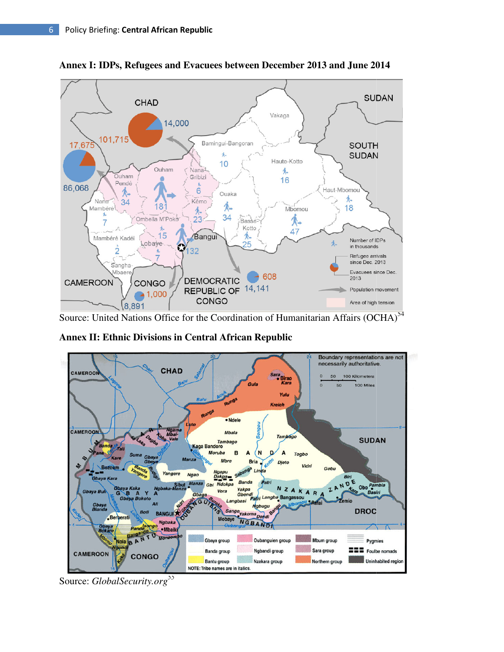

Annex I: IDPs, Refugees and Evacuees between December 2013 and June 2014

Source: United Nations Office for the Coordination of Humanitarian Affairs (OCHA)<sup>54</sup>

**Annex II: Ethnic Divisions in Central African Republic**



Source: *GlobalSecurity.org<sup>55</sup>*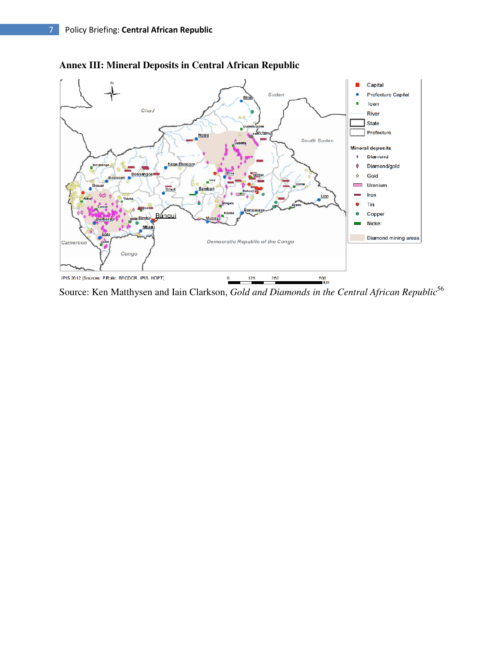

## **Annex III: Mineral Deposits in Central African Republic**

Source: Ken Matthysen and Iain Clarkson, *Gold and Diamonds in the Central African Republic*<sup>56</sup>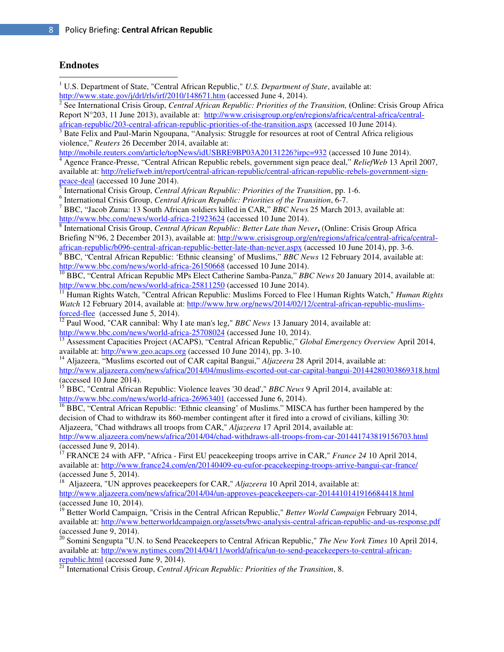#### **Endnotes**

 $\overline{\phantom{a}}$ 

<sup>1</sup> U.S. Department of State, "Central African Republic," *U.S. Department of State*, available at:  $\frac{\text{http://www.state.gov/j/dr/rls/irf/2010/148671.htm}}{2 \text{ So of International Grisic Group}$ <br>  $\frac{\text{Central A frisary}$  Banublie: Priorities of the See International Crisis Group, *Central African Republic: Priorities of the Transition,* **(**Online: Crisis Group Africa Report N°203, 11 June 2013), available at: http://www.crisisgroup.org/en/regions/africa/central-africa/centralafrican-republic/203-central-african-republic-priorities-of-the-transition.aspx (accessed 10 June 2014). <sup>3</sup> Bate Felix and Paul-Marin Ngoupana, "Analysis: Struggle for resources at root of Central Africa religious violence," *Reuters* 26 December 2014, available at: http://mobile.reuters.com/article/topNews/idUSBRE9BP03A20131226?irpc=932 (accessed 10 June 2014). Agence France-Presse, "Central African Republic rebels, government sign peace deal," *ReliefWeb* 13 April 2007, available at: http://reliefweb.int/report/central-african-republic/central-african-republic-rebels-government-signpeace-deal (accessed 10 June 2014). International Crisis Group, *Central African Republic: Priorities of the Transition*, pp. 1-6. 6 International Crisis Group, *Central African Republic: Priorities of the Transition*, 6-7. 7 BBC, "Jacob Zuma: 13 South African soldiers killed in CAR," *BBC News* 25 March 2013, available at: http://www.bbc.com/news/world-africa-21923624 (accessed 10 June 2014). 8 International Crisis Group, *Central African Republic: Better Late than Never***,** (Online: Crisis Group Africa Briefing N°96, 2 December 2013), available at: http://www.crisisgroup.org/en/regions/africa/central-africa/centralafrican-republic/b096-central-african-republic-better-late-than-never.aspx (accessed 10 June 2014), pp. 3-6. 9 BBC, "Central African Republic: 'Ethnic cleansing' of Muslims," *BBC News* 12 February 2014, available at: http://www.bbc.com/news/world-africa-26150668 (accessed 10 June 2014). <sup>10</sup> BBC, "Central African Republic MPs Elect Catherine Samba-Panza," *BBC News* 20 January 2014, available at: http://www.bbc.com/news/world-africa-25811250 (accessed 10 June 2014). <sup>11</sup> Human Rights Watch, "Central African Republic: Muslims Forced to Flee | Human Rights Watch," *Human Rights Watch* 12 February 2014, available at: http://www.hrw.org/news/2014/02/12/central-african-republic-muslimsforced-flee (accessed June 5, 2014). <sup>12</sup> Paul Wood, "CAR cannibal: Why I ate man's leg," *BBC News* 13 January 2014, available at: http://www.bbc.com/news/world-africa-25708024 (accessed June 10, 2014). <sup>13</sup> Assessment Capacities Project (ACAPS), "Central African Republic," *Global Emergency Overview* April 2014, available at: http://www.geo.acaps.org (accessed 10 June 2014), pp. 3-10. <sup>14</sup> Aljazeera, "Muslims escorted out of CAR capital Bangui," *Aljazeera* 28 April 2014, available at: http://www.aljazeera.com/news/africa/2014/04/muslims-escorted-out-car-capital-bangui-20144280303869318.html (accessed 10 June 2014). <sup>15</sup> BBC, "Central African Republic: Violence leaves '30 dead'," *BBC News* 9 April 2014, available at: http://www.bbc.com/news/world-africa-26963401 (accessed June 6, 2014). <sup>16</sup> BBC, "Central African Republic: 'Ethnic cleansing' of Muslims." MISCA has further been hampered by the decision of Chad to withdraw its 860-member contingent after it fired into a crowd of civilians, killing 30: Aljazeera, "Chad withdraws all troops from CAR," *Aljazeera* 17 April 2014, available at: http://www.aljazeera.com/news/africa/2014/04/chad-withdraws-all-troops-from-car-201441743819156703.html (accessed June 9, 2014). <sup>17</sup> FRANCE 24 with AFP, "Africa - First EU peacekeeping troops arrive in CAR," *France* 24 10 April 2014, available at: http://www.france24.com/en/20140409-eu-eufor-peacekeeping-troops-arrive-bangui-car-france/ (accessed June 5, 2014). <sup>18</sup> Aljazeera, "UN approves peacekeepers for CAR," *Aljazeera* 10 April 2014, available at: http://www.aljazeera.com/news/africa/2014/04/un-approves-peacekeepers-car-2014410141916684418.html (accessed June 10, 2014). <sup>19</sup> Better World Campaign, "Crisis in the Central African Republic," *Better World Campaign* February 2014, available at: http://www.betterworldcampaign.org/assets/bwc-analysis-central-african-republic-and-us-response.pdf (accessed June 9, 2014). <sup>20</sup> Somini Sengupta "U.N. to Send Peacekeepers to Central African Republic," *The New York Times* 10 April 2014, available at: http://www.nytimes.com/2014/04/11/world/africa/un-to-send-peacekeepers-to-central-africanrepublic.html (accessed June 9, 2014). <sup>21</sup> International Crisis Group, *Central African Republic: Priorities of the Transition*, 8.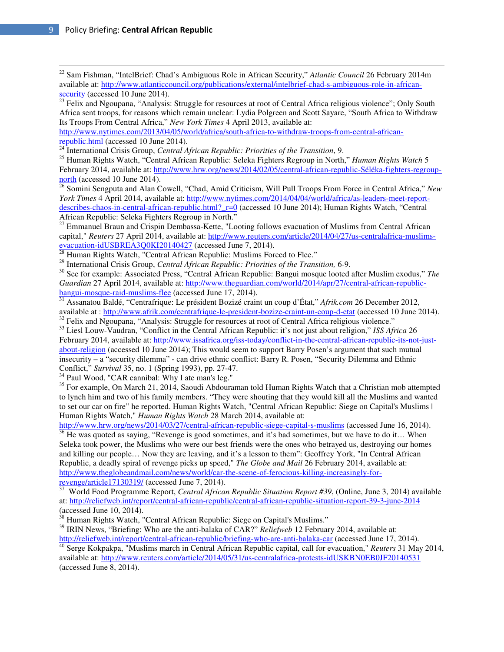$\overline{\phantom{a}}$ 

<sup>22</sup> Sam Fishman, "IntelBrief: Chad's Ambiguous Role in African Security," *Atlantic Council* 26 February 2014m available at: http://www.atlanticcouncil.org/publications/external/intelbrief-chad-s-ambiguous-role-in-africansecurity (accessed 10 June 2014).

 $\frac{23}{23}$  Felix and Ngoupana, "Analysis: Struggle for resources at root of Central Africa religious violence"; Only South Africa sent troops, for reasons which remain unclear: Lydia Polgreen and Scott Sayare, "South Africa to Withdraw Its Troops From Central Africa," *New York Times* 4 April 2013, available at:

http://www.nytimes.com/2013/04/05/world/africa/south-africa-to-withdraw-troops-from-central-africanrepublic.html (accessed 10 June 2014).

<sup>24</sup> International Crisis Group, *Central African Republic: Priorities of the Transition*, 9.

<sup>25</sup> Human Rights Watch, "Central African Republic: Seleka Fighters Regroup in North," *Human Rights Watch* 5 February 2014, available at: http://www.hrw.org/news/2014/02/05/central-african-republic-Séléka-fighters-regroupnorth (accessed 10 June 2014).

<sup>26</sup> Somini Sengputa and Alan Cowell, "Chad, Amid Criticism, Will Pull Troops From Force in Central Africa," *New York Times* 4 April 2014, available at: http://www.nytimes.com/2014/04/04/world/africa/as-leaders-meet-reportdescribes-chaos-in-central-african-republic.html? r=0 (accessed 10 June 2014); Human Rights Watch, "Central African Republic: Seleka Fighters Regroup in North."

<sup>27</sup> Emmanuel Braun and Crispin Dembassa-Kette, "Looting follows evacuation of Muslims from Central African capital," *Reuters* 27 April 2014, available at: http://www.reuters.com/article/2014/04/27/us-centralafrica-muslimsevacuation-idUSBREA3Q0KI20140427 (accessed June 7, 2014).

 $^{28}$  Human Rights Watch, "Central African Republic: Muslims Forced to Flee."

<sup>29</sup> International Crisis Group, *Central African Republic: Priorities of the Transition,* 6-9.

<sup>30</sup> See for example: Associated Press, "Central African Republic: Bangui mosque looted after Muslim exodus," *The Guardian* 27 April 2014, available at: http://www.theguardian.com/world/2014/apr/27/central-african-republicbangui-mosque-raid-muslims-flee (accessed June 17, 2014).

<sup>31</sup> Assanatou Baldé, "Centrafrique: Le président Bozizé craint un coup d'État," *Afrik.com* 26 December 2012, available at : http://www.afrik.com/centrafrique-le-president-bozize-craint-un-coup-d-etat (accessed 10 June 2014). <sup>32</sup> Felix and Ngoupana, "Analysis: Struggle for resources at root of Central Africa religious violence."

<sup>33</sup> Liesl Louw-Vaudran, "Conflict in the Central African Republic: it's not just about religion," *ISS Africa* 26 February 2014, available at: http://www.issafrica.org/iss-today/conflict-in-the-central-african-republic-its-not-justabout-religion (accessed 10 June 2014); This would seem to support Barry Posen's argument that such mutual insecurity – a "security dilemma" - can drive ethnic conflict: Barry R. Posen, "Security Dilemma and Ethnic Conflict," *Survival* 35, no. 1 (Spring 1993), pp. 27-47.

<sup>34</sup> Paul Wood, "CAR cannibal: Why I ate man's leg."

<sup>35</sup> For example, On March 21, 2014, Saoudi Abdouraman told Human Rights Watch that a Christian mob attempted to lynch him and two of his family members. "They were shouting that they would kill all the Muslims and wanted to set our car on fire" he reported. Human Rights Watch, "Central African Republic: Siege on Capital's Muslims | Human Rights Watch," *Human Rights Watch* 28 March 2014, available at:

http://www.hrw.org/news/2014/03/27/central-african-republic-siege-capital-s-muslims (accessed June 16, 2014).

 $36$  He was quoted as saying, "Revenge is good sometimes, and it's bad sometimes, but we have to do it... When Seleka took power, the Muslims who were our best friends were the ones who betrayed us, destroying our homes and killing our people… Now they are leaving, and it's a lesson to them": Geoffrey York, "In Central African Republic, a deadly spiral of revenge picks up speed," *The Globe and Mail* 26 February 2014, available at: http://www.theglobeandmail.com/news/world/car-the-scene-of-ferocious-killing-increasingly-forrevenge/article17130319/ (accessed June 7, 2014).

<sup>37</sup> World Food Programme Report, *Central African Republic Situation Report #39*, (Online, June 3, 2014) available at: http://reliefweb.int/report/central-african-republic/central-african-republic-situation-report-39-3-june-2014 (accessed June 10, 2014).

<sup>38</sup> Human Rights Watch, "Central African Republic: Siege on Capital's Muslims."

<sup>39</sup> IRIN News, "Briefing: Who are the anti-balaka of CAR?" *Reliefweb* 12 February 2014, available at: http://reliefweb.int/report/central-african-republic/briefing-who-are-anti-balaka-car (accessed June 17, 2014).

<sup>40</sup> Serge Kokpakpa, "Muslims march in Central African Republic capital, call for evacuation," *Reuters* 31 May 2014, available at: http://www.reuters.com/article/2014/05/31/us-centralafrica-protests-idUSKBN0EB0JF20140531 (accessed June 8, 2014).